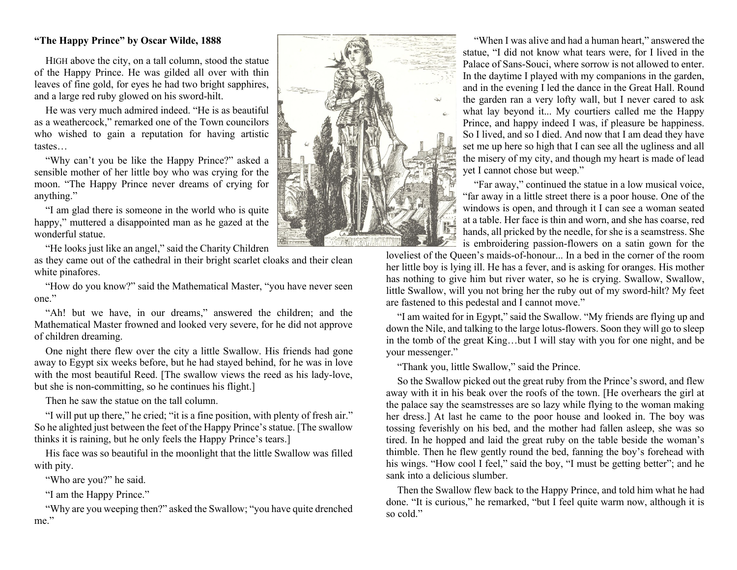## **"The Happy Prince" by Oscar Wilde, 1888**

HIGH above the city, on a tall column, stood the statue of the Happy Prince. He was gilded all over with thin leaves of fine gold, for eyes he had two bright sapphires, and a large red ruby glowed on his sword-hilt.

He was very much admired indeed. "He is as beautiful as a weathercock," remarked one of the Town councilors who wished to gain a reputation for having artistic tastes…

"Why can't you be like the Happy Prince?" asked a sensible mother of her little boy who was crying for the moon. "The Happy Prince never dreams of crying for anything."

"I am glad there is someone in the world who is quite happy," muttered a disappointed man as he gazed at the wonderful statue.

"He looks just like an angel," said the Charity Children

as they came out of the cathedral in their bright scarlet cloaks and their clean white pinafores.

"How do you know?" said the Mathematical Master, "you have never seen one."

"Ah! but we have, in our dreams," answered the children; and the Mathematical Master frowned and looked very severe, for he did not approve of children dreaming.

One night there flew over the city a little Swallow. His friends had gone away to Egypt six weeks before, but he had stayed behind, for he was in love with the most beautiful Reed. [The swallow views the reed as his lady-love, but she is non-committing, so he continues his flight.]

Then he saw the statue on the tall column.

"I will put up there," he cried; "it is a fine position, with plenty of fresh air." So he alighted just between the feet of the Happy Prince's statue. [The swallow thinks it is raining, but he only feels the Happy Prince's tears.]

His face was so beautiful in the moonlight that the little Swallow was filled with pity.

"Who are you?" he said.

"I am the Happy Prince."

"Why are you weeping then?" asked the Swallow; "you have quite drenched me."



"When I was alive and had a human heart," answered the statue, "I did not know what tears were, for I lived in the Palace of Sans-Souci, where sorrow is not allowed to enter. In the daytime I played with my companions in the garden, and in the evening I led the dance in the Great Hall. Round the garden ran a very lofty wall, but I never cared to ask what lay beyond it... My courtiers called me the Happy Prince, and happy indeed I was, if pleasure be happiness. So I lived, and so I died. And now that I am dead they have set me up here so high that I can see all the ugliness and all the misery of my city, and though my heart is made of lead yet I cannot chose but weep."

"Far away," continued the statue in a low musical voice, "far away in a little street there is a poor house. One of the windows is open, and through it I can see a woman seated at a table. Her face is thin and worn, and she has coarse, red hands, all pricked by the needle, for she is a seamstress. She is embroidering passion-flowers on a satin gown for the

loveliest of the Queen's maids-of-honour... In a bed in the corner of the room her little boy is lying ill. He has a fever, and is asking for oranges. His mother has nothing to give him but river water, so he is crying. Swallow, Swallow, little Swallow, will you not bring her the ruby out of my sword-hilt? My feet are fastened to this pedestal and I cannot move."

"I am waited for in Egypt," said the Swallow. "My friends are flying up and down the Nile, and talking to the large lotus-flowers. Soon they will go to sleep in the tomb of the great King…but I will stay with you for one night, and be your messenger."

"Thank you, little Swallow," said the Prince.

So the Swallow picked out the great ruby from the Prince's sword, and flew away with it in his beak over the roofs of the town. [He overhears the girl at the palace say the seamstresses are so lazy while flying to the woman making her dress.] At last he came to the poor house and looked in. The boy was tossing feverishly on his bed, and the mother had fallen asleep, she was so tired. In he hopped and laid the great ruby on the table beside the woman's thimble. Then he flew gently round the bed, fanning the boy's forehead with his wings. "How cool I feel," said the boy, "I must be getting better"; and he sank into a delicious slumber.

Then the Swallow flew back to the Happy Prince, and told him what he had done. "It is curious," he remarked, "but I feel quite warm now, although it is so cold."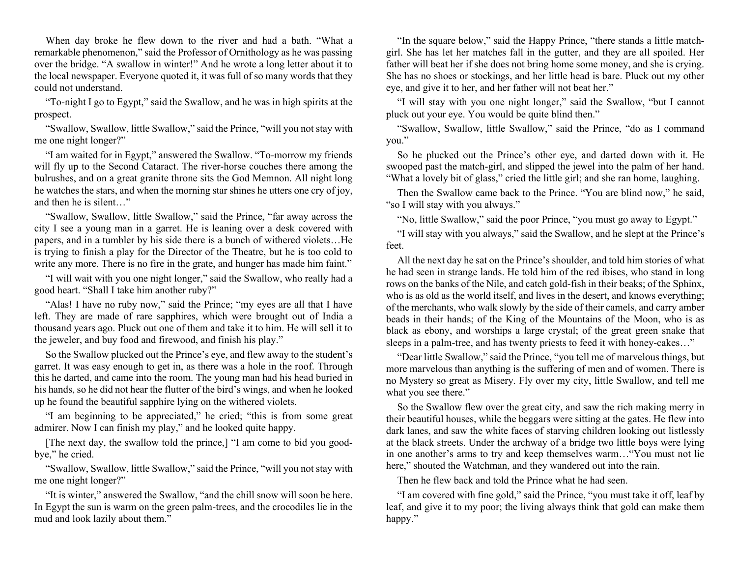When day broke he flew down to the river and had a bath. "What a remarkable phenomenon," said the Professor of Ornithology as he was passing over the bridge. "A swallow in winter!" And he wrote a long letter about it to the local newspaper. Everyone quoted it, it was full of so many words that they could not understand.

"To-night I go to Egypt," said the Swallow, and he was in high spirits at the prospect.

"Swallow, Swallow, little Swallow," said the Prince, "will you not stay with me one night longer?"

"I am waited for in Egypt," answered the Swallow. "To-morrow my friends will fly up to the Second Cataract. The river-horse couches there among the bulrushes, and on a great granite throne sits the God Memnon. All night long he watches the stars, and when the morning star shines he utters one cry of joy, and then he is silent…"

"Swallow, Swallow, little Swallow," said the Prince, "far away across the city I see a young man in a garret. He is leaning over a desk covered with papers, and in a tumbler by his side there is a bunch of withered violets…He is trying to finish a play for the Director of the Theatre, but he is too cold to write any more. There is no fire in the grate, and hunger has made him faint."

"I will wait with you one night longer," said the Swallow, who really had a good heart. "Shall I take him another ruby?"

"Alas! I have no ruby now," said the Prince; "my eyes are all that I have left. They are made of rare sapphires, which were brought out of India a thousand years ago. Pluck out one of them and take it to him. He will sell it to the jeweler, and buy food and firewood, and finish his play."

So the Swallow plucked out the Prince's eye, and flew away to the student's garret. It was easy enough to get in, as there was a hole in the roof. Through this he darted, and came into the room. The young man had his head buried in his hands, so he did not hear the flutter of the bird's wings, and when he looked up he found the beautiful sapphire lying on the withered violets.

"I am beginning to be appreciated," he cried; "this is from some great admirer. Now I can finish my play," and he looked quite happy.

[The next day, the swallow told the prince,] "I am come to bid you goodbye," he cried.

"Swallow, Swallow, little Swallow," said the Prince, "will you not stay with me one night longer?"

"It is winter," answered the Swallow, "and the chill snow will soon be here. In Egypt the sun is warm on the green palm-trees, and the crocodiles lie in the mud and look lazily about them."

"In the square below," said the Happy Prince, "there stands a little matchgirl. She has let her matches fall in the gutter, and they are all spoiled. Her father will beat her if she does not bring home some money, and she is crying. She has no shoes or stockings, and her little head is bare. Pluck out my other eye, and give it to her, and her father will not beat her."

"I will stay with you one night longer," said the Swallow, "but I cannot pluck out your eye. You would be quite blind then."

"Swallow, Swallow, little Swallow," said the Prince, "do as I command you."

So he plucked out the Prince's other eye, and darted down with it. He swooped past the match-girl, and slipped the jewel into the palm of her hand. "What a lovely bit of glass," cried the little girl; and she ran home, laughing.

Then the Swallow came back to the Prince. "You are blind now," he said, "so I will stay with you always."

"No, little Swallow," said the poor Prince, "you must go away to Egypt."

"I will stay with you always," said the Swallow, and he slept at the Prince's feet.

All the next day he sat on the Prince's shoulder, and told him stories of what he had seen in strange lands. He told him of the red ibises, who stand in long rows on the banks of the Nile, and catch gold-fish in their beaks; of the Sphinx, who is as old as the world itself, and lives in the desert, and knows everything; of the merchants, who walk slowly by the side of their camels, and carry amber beads in their hands; of the King of the Mountains of the Moon, who is as black as ebony, and worships a large crystal; of the great green snake that sleeps in a palm-tree, and has twenty priests to feed it with honey-cakes…"

"Dear little Swallow," said the Prince, "you tell me of marvelous things, but more marvelous than anything is the suffering of men and of women. There is no Mystery so great as Misery. Fly over my city, little Swallow, and tell me what you see there."

So the Swallow flew over the great city, and saw the rich making merry in their beautiful houses, while the beggars were sitting at the gates. He flew into dark lanes, and saw the white faces of starving children looking out listlessly at the black streets. Under the archway of a bridge two little boys were lying in one another's arms to try and keep themselves warm…"You must not lie here," shouted the Watchman, and they wandered out into the rain.

Then he flew back and told the Prince what he had seen.

"I am covered with fine gold," said the Prince, "you must take it off, leaf by leaf, and give it to my poor; the living always think that gold can make them happy."